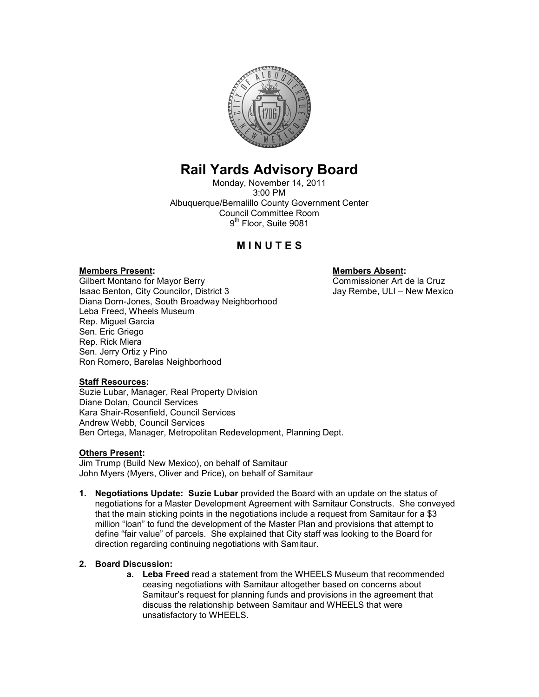

# Rail Yards Advisory Board

Monday, November 14, 2011 3:00 PM Albuquerque/Bernalillo County Government Center Council Committee Room 9<sup>th</sup> Floor, Suite 9081

# **MINUTES**

#### Members Present: Members Absent:

Gilbert Montano for Mayor Berry<br>
Isaac Benton, City Councilor, District 3 Service Superior Commissioner Art de la Cruz Isaac Benton, City Councilor, District 3 Diana Dorn-Jones, South Broadway Neighborhood Leba Freed, Wheels Museum Rep. Miguel Garcia Sen. Eric Griego Rep. Rick Miera Sen. Jerry Ortiz y Pino Ron Romero, Barelas Neighborhood

## Staff Resources:

Suzie Lubar, Manager, Real Property Division Diane Dolan, Council Services Kara Shair-Rosenfield, Council Services Andrew Webb, Council Services Ben Ortega, Manager, Metropolitan Redevelopment, Planning Dept.

#### Others Present:

Jim Trump (Build New Mexico), on behalf of Samitaur John Myers (Myers, Oliver and Price), on behalf of Samitaur

1. Negotiations Update: Suzie Lubar provided the Board with an update on the status of negotiations for a Master Development Agreement with Samitaur Constructs. She conveyed that the main sticking points in the negotiations include a request from Samitaur for a \$3 million "loan" to fund the development of the Master Plan and provisions that attempt to define "fair value" of parcels. She explained that City staff was looking to the Board for direction regarding continuing negotiations with Samitaur.

## 2. Board Discussion:

a. Leba Freed read a statement from the WHEELS Museum that recommended ceasing negotiations with Samitaur altogether based on concerns about Samitaur's request for planning funds and provisions in the agreement that discuss the relationship between Samitaur and WHEELS that were unsatisfactory to WHEELS.